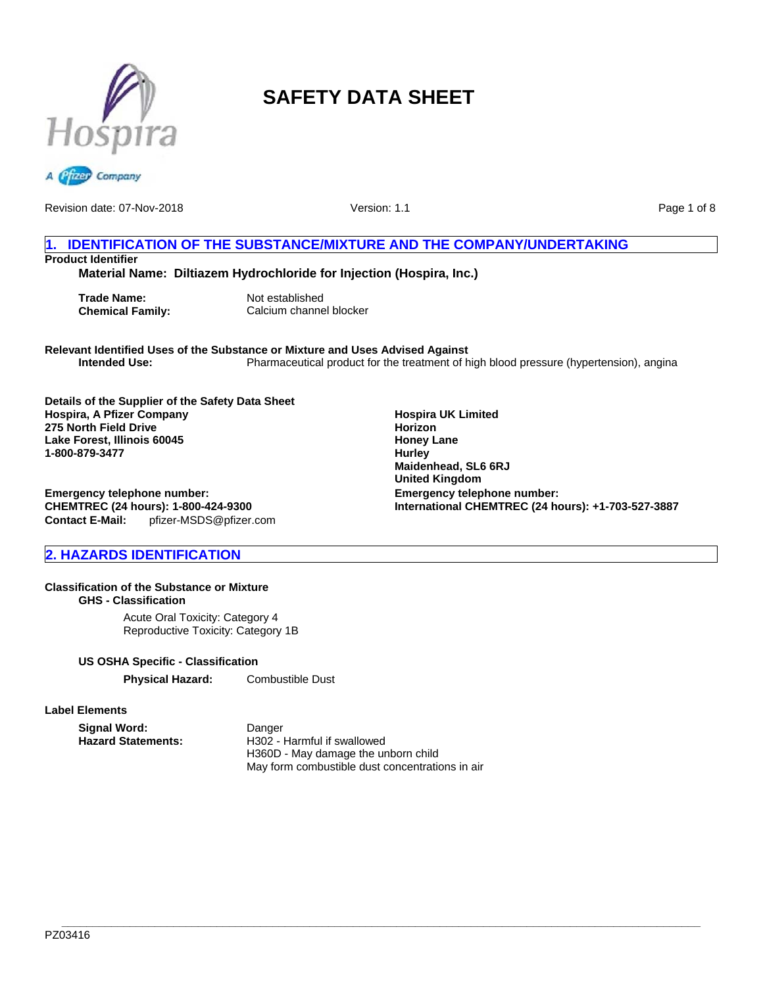



Revision date: 07-Nov-2018

Version: 1.1

Page 1 of 8

# **1. IDENTIFICATION OF THE SUBSTANCE/MIXTURE AND THE COMPANY/UNDERTAKING Product Identifier**

**Material Name: Diltiazem Hydrochloride for Injection (Hospira, Inc.)**

**Trade Name:** Not established

**Chemical Family:** Calcium channel blocker

**Relevant Identified Uses of the Substance or Mixture and Uses Advised Against** Pharmaceutical product for the treatment of high blood pressure (hypertension), angina

**Details of the Supplier of the Safety Data Sheet Hospira, A Pfizer Company 275 North Field Drive Lake Forest, Illinois 60045 1-800-879-3477**

**Emergency telephone number: CHEMTREC (24 hours): 1-800-424-9300 Contact E-Mail:** pfizer-MSDS@pfizer.com

# **2. HAZARDS IDENTIFICATION**

# **Classification of the Substance or Mixture**

**GHS - Classification**

Acute Oral Toxicity: Category 4 Reproductive Toxicity: Category 1B

### **US OSHA Specific - Classification**

**Physical Hazard:** Combustible Dust

### **Label Elements**

**Signal Word:** Danger<br> **Hazard Statements:** H302 - I

**Hazard Statements:** H302 - Harmful if swallowed H360D - May damage the unborn child May form combustible dust concentrations in air

**Hospira UK Limited Horizon Honey Lane Hurley Maidenhead, SL6 6RJ United Kingdom Emergency telephone number: International CHEMTREC (24 hours): +1-703-527-3887**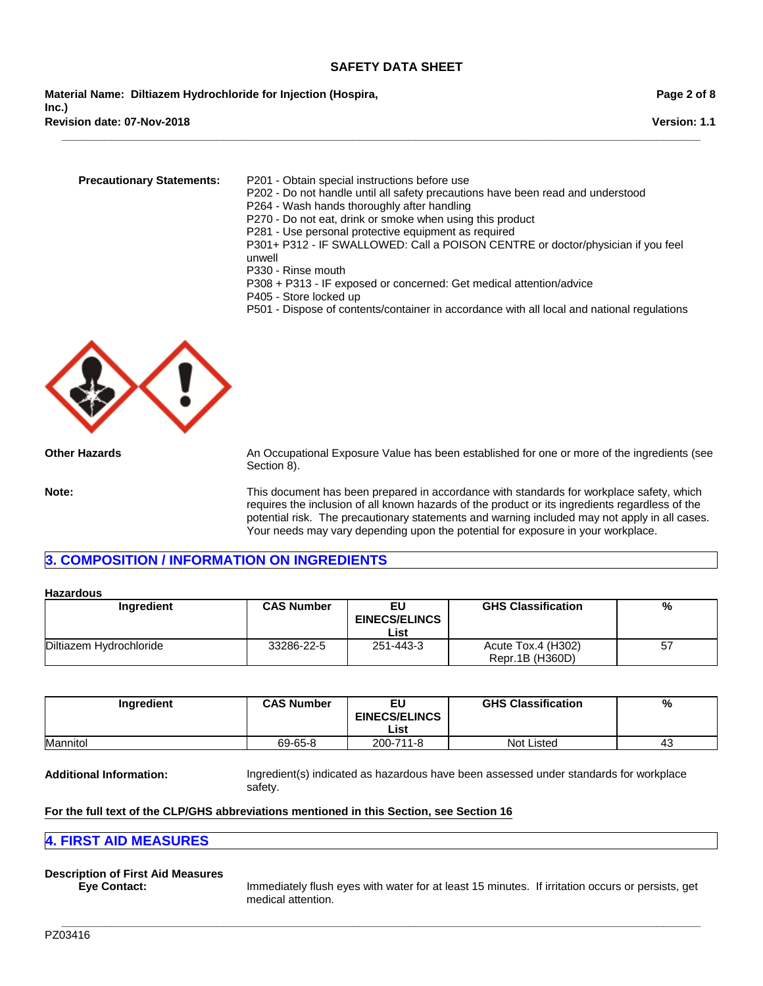**Revision date: 07-Nov-2018 Material Name: Diltiazem Hydrochloride for Injection (Hospira, Inc.)**

**Version: 1.1**

**Precautionary Statements:** P201 - Obtain special instructions before use

P202 - Do not handle until all safety precautions have been read and understood

P264 - Wash hands thoroughly after handling

P270 - Do not eat, drink or smoke when using this product

P281 - Use personal protective equipment as required

**\_\_\_\_\_\_\_\_\_\_\_\_\_\_\_\_\_\_\_\_\_\_\_\_\_\_\_\_\_\_\_\_\_\_\_\_\_\_\_\_\_\_\_\_\_\_\_\_\_\_\_\_\_\_\_\_\_\_\_\_\_\_\_\_\_\_\_\_\_\_\_\_\_\_\_\_\_\_\_\_\_\_\_\_\_\_\_\_\_\_\_\_\_\_\_\_\_\_\_\_\_\_\_**

P301+ P312 - IF SWALLOWED: Call a POISON CENTRE or doctor/physician if you feel unwell

- P330 Rinse mouth
- P308 + P313 IF exposed or concerned: Get medical attention/advice
- P405 Store locked up
- P501 Dispose of contents/container in accordance with all local and national regulations



**Other Hazards** An Occupational Exposure Value has been established for one or more of the ingredients (see Section 8).

**Note:** This document has been prepared in accordance with standards for workplace safety, which requires the inclusion of all known hazards of the product or its ingredients regardless of the potential risk. The precautionary statements and warning included may not apply in all cases. Your needs may vary depending upon the potential for exposure in your workplace.

# **3. COMPOSITION / INFORMATION ON INGREDIENTS**

#### **Hazardous**

| Ingredient              | <b>CAS Number</b> | <b>GHS Classification</b><br>EU<br><b>EINECS/ELINCS</b> |                                       | %  |
|-------------------------|-------------------|---------------------------------------------------------|---------------------------------------|----|
|                         |                   | List                                                    |                                       |    |
| Diltiazem Hydrochloride | 33286-22-5        | 251-443-3                                               | Acute Tox.4 (H302)<br>Repr.1B (H360D) | 57 |

| Ingredient | <b>CAS Number</b> | EU<br><b>EINECS/ELINCS</b><br>List | <b>GHS Classification</b> | %  |
|------------|-------------------|------------------------------------|---------------------------|----|
| Mannitol   | 69-65-8           | 200-711-8                          | Not Listed                | 43 |

**\_\_\_\_\_\_\_\_\_\_\_\_\_\_\_\_\_\_\_\_\_\_\_\_\_\_\_\_\_\_\_\_\_\_\_\_\_\_\_\_\_\_\_\_\_\_\_\_\_\_\_\_\_\_\_\_\_\_\_\_\_\_\_\_\_\_\_\_\_\_\_\_\_\_\_\_\_\_\_\_\_\_\_\_\_\_\_\_\_\_\_\_\_\_\_\_\_\_\_\_\_\_\_**

**Additional Information:** Ingredient(s) indicated as hazardous have been assessed under standards for workplace safety.

### **For the full text of the CLP/GHS abbreviations mentioned in this Section, see Section 16**

### **4. FIRST AID MEASURES**

# **Description of First Aid Measures**

**Eye Contact:** Immediately flush eyes with water for at least 15 minutes. If irritation occurs or persists, get medical attention.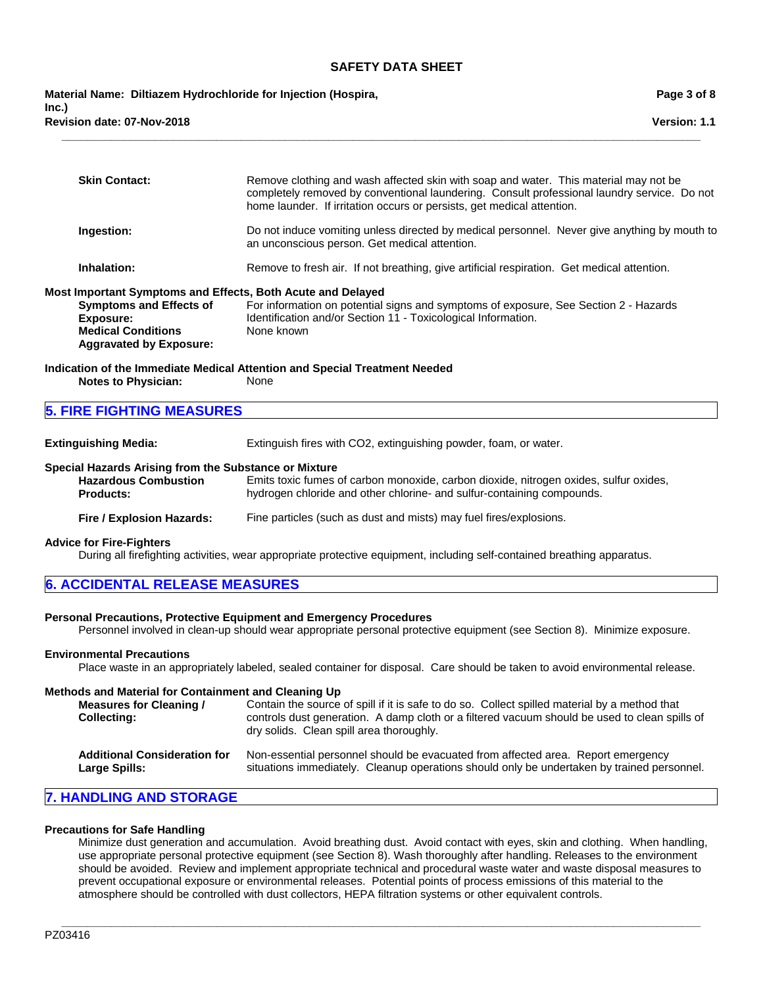**\_\_\_\_\_\_\_\_\_\_\_\_\_\_\_\_\_\_\_\_\_\_\_\_\_\_\_\_\_\_\_\_\_\_\_\_\_\_\_\_\_\_\_\_\_\_\_\_\_\_\_\_\_\_\_\_\_\_\_\_\_\_\_\_\_\_\_\_\_\_\_\_\_\_\_\_\_\_\_\_\_\_\_\_\_\_\_\_\_\_\_\_\_\_\_\_\_\_\_\_\_\_\_**

**Revision date: 07-Nov-2018 Material Name: Diltiazem Hydrochloride for Injection (Hospira, Inc.)**

**Page 3 of 8**

|                                                                                          | <b>Skin Contact:</b>                                                                                                                                                             | Remove clothing and wash affected skin with soap and water. This material may not be<br>completely removed by conventional laundering. Consult professional laundry service. Do not<br>home launder. If irritation occurs or persists, get medical attention. |  |
|------------------------------------------------------------------------------------------|----------------------------------------------------------------------------------------------------------------------------------------------------------------------------------|---------------------------------------------------------------------------------------------------------------------------------------------------------------------------------------------------------------------------------------------------------------|--|
|                                                                                          | Ingestion:                                                                                                                                                                       | Do not induce vomiting unless directed by medical personnel. Never give anything by mouth to<br>an unconscious person. Get medical attention.                                                                                                                 |  |
|                                                                                          | Inhalation:                                                                                                                                                                      | Remove to fresh air. If not breathing, give artificial respiration. Get medical attention.                                                                                                                                                                    |  |
|                                                                                          | Most Important Symptoms and Effects, Both Acute and Delayed<br><b>Symptoms and Effects of</b><br><b>Exposure:</b><br><b>Medical Conditions</b><br><b>Aggravated by Exposure:</b> | For information on potential signs and symptoms of exposure, See Section 2 - Hazards<br>Identification and/or Section 11 - Toxicological Information.<br>None known                                                                                           |  |
|                                                                                          | <b>Notes to Physician:</b>                                                                                                                                                       | Indication of the Immediate Medical Attention and Special Treatment Needed<br>None                                                                                                                                                                            |  |
|                                                                                          | <b>5. FIRE FIGHTING MEASURES</b>                                                                                                                                                 |                                                                                                                                                                                                                                                               |  |
| Extinguishing Media:<br>Extinguish fires with CO2, extinguishing powder, foam, or water. |                                                                                                                                                                                  |                                                                                                                                                                                                                                                               |  |

#### **Special Hazards Arising from the Substance or Mixture**

| <b>Hazardous Combustion</b> | Emits toxic fumes of carbon monoxide, carbon dioxide, nitrogen oxides, sulfur oxides, |
|-----------------------------|---------------------------------------------------------------------------------------|
| <b>Products:</b>            | hydrogen chloride and other chlorine- and sulfur-containing compounds.                |
|                             |                                                                                       |

### **Fire / Explosion Hazards:** Fine particles (such as dust and mists) may fuel fires/explosions.

#### **Advice for Fire-Fighters**

During all firefighting activities, wear appropriate protective equipment, including self-contained breathing apparatus.

| <b>6. ACCIDENTAL RELEASE MEASURES</b> |
|---------------------------------------|
|---------------------------------------|

### **Personal Precautions, Protective Equipment and Emergency Procedures**

Personnel involved in clean-up should wear appropriate personal protective equipment (see Section 8). Minimize exposure.

### **Environmental Precautions**

Place waste in an appropriately labeled, sealed container for disposal. Care should be taken to avoid environmental release.

#### **Methods and Material for Containment and Cleaning Up**

**Measures for Cleaning / Collecting:** Contain the source of spill if it is safe to do so. Collect spilled material by a method that controls dust generation. A damp cloth or a filtered vacuum should be used to clean spills of dry solids. Clean spill area thoroughly.

| Additional Consideration for | Non-essential personnel should be evacuated from affected area. Report emergency           |
|------------------------------|--------------------------------------------------------------------------------------------|
| Large Spills:                | situations immediately. Cleanup operations should only be undertaken by trained personnel. |

# **7. HANDLING AND STORAGE**

### **Precautions for Safe Handling**

Minimize dust generation and accumulation. Avoid breathing dust. Avoid contact with eyes, skin and clothing. When handling, use appropriate personal protective equipment (see Section 8). Wash thoroughly after handling. Releases to the environment should be avoided. Review and implement appropriate technical and procedural waste water and waste disposal measures to prevent occupational exposure or environmental releases. Potential points of process emissions of this material to the atmosphere should be controlled with dust collectors, HEPA filtration systems or other equivalent controls.

**\_\_\_\_\_\_\_\_\_\_\_\_\_\_\_\_\_\_\_\_\_\_\_\_\_\_\_\_\_\_\_\_\_\_\_\_\_\_\_\_\_\_\_\_\_\_\_\_\_\_\_\_\_\_\_\_\_\_\_\_\_\_\_\_\_\_\_\_\_\_\_\_\_\_\_\_\_\_\_\_\_\_\_\_\_\_\_\_\_\_\_\_\_\_\_\_\_\_\_\_\_\_\_**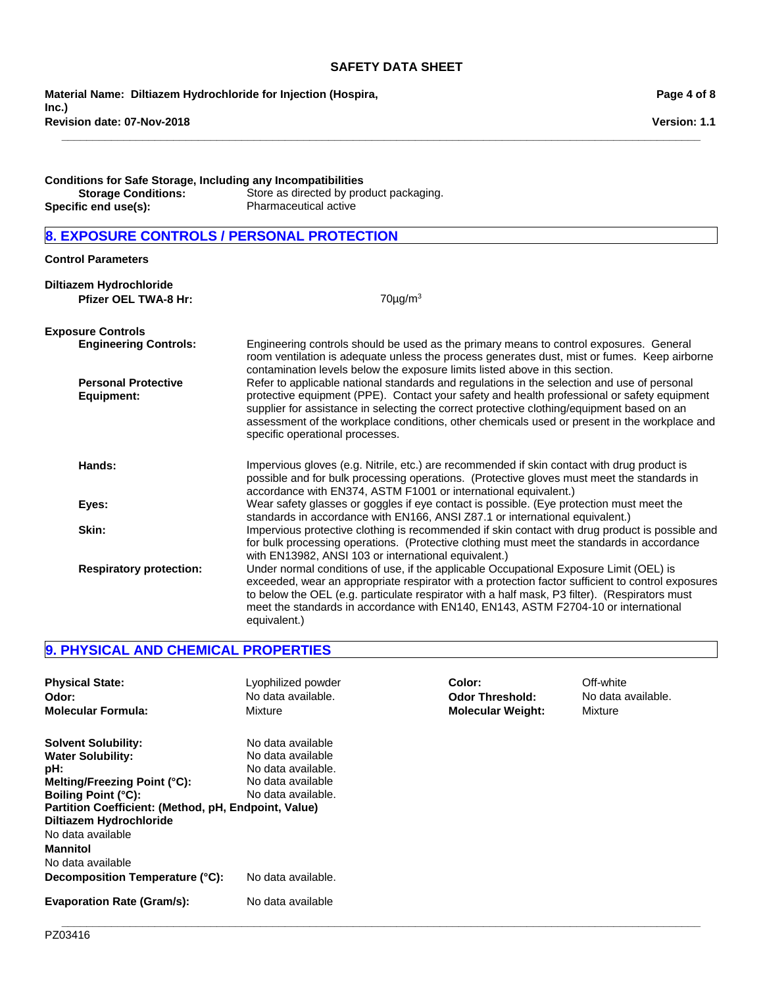**\_\_\_\_\_\_\_\_\_\_\_\_\_\_\_\_\_\_\_\_\_\_\_\_\_\_\_\_\_\_\_\_\_\_\_\_\_\_\_\_\_\_\_\_\_\_\_\_\_\_\_\_\_\_\_\_\_\_\_\_\_\_\_\_\_\_\_\_\_\_\_\_\_\_\_\_\_\_\_\_\_\_\_\_\_\_\_\_\_\_\_\_\_\_\_\_\_\_\_\_\_\_\_**

**Revision date: 07-Nov-2018 Material Name: Diltiazem Hydrochloride for Injection (Hospira, Inc.)**

**Page 4 of 8**

**Version: 1.1**

| <b>Conditions for Safe Storage, Including any Incompatibilities</b> |                                         |  |  |
|---------------------------------------------------------------------|-----------------------------------------|--|--|
| <b>Storage Conditions:</b>                                          | Store as directed by product packaging. |  |  |
| Specific end use(s):                                                | <b>Pharmaceutical active</b>            |  |  |

# **8. EXPOSURE CONTROLS / PERSONAL PROTECTION**

### **Control Parameters**

| Diltiazem Hydrochloride<br><b>Pfizer OEL TWA-8 Hr:</b> | $70\mu$ g/m <sup>3</sup>                                                                                                                                                                                                                                                                                                                                                                                                    |
|--------------------------------------------------------|-----------------------------------------------------------------------------------------------------------------------------------------------------------------------------------------------------------------------------------------------------------------------------------------------------------------------------------------------------------------------------------------------------------------------------|
| <b>Exposure Controls</b>                               |                                                                                                                                                                                                                                                                                                                                                                                                                             |
| <b>Engineering Controls:</b>                           | Engineering controls should be used as the primary means to control exposures. General<br>room ventilation is adequate unless the process generates dust, mist or fumes. Keep airborne<br>contamination levels below the exposure limits listed above in this section.                                                                                                                                                      |
| <b>Personal Protective</b><br>Equipment:               | Refer to applicable national standards and regulations in the selection and use of personal<br>protective equipment (PPE). Contact your safety and health professional or safety equipment<br>supplier for assistance in selecting the correct protective clothing/equipment based on an<br>assessment of the workplace conditions, other chemicals used or present in the workplace and<br>specific operational processes. |
| Hands:                                                 | Impervious gloves (e.g. Nitrile, etc.) are recommended if skin contact with drug product is<br>possible and for bulk processing operations. (Protective gloves must meet the standards in<br>accordance with EN374, ASTM F1001 or international equivalent.)                                                                                                                                                                |
| Eyes:                                                  | Wear safety glasses or goggles if eye contact is possible. (Eye protection must meet the<br>standards in accordance with EN166, ANSI Z87.1 or international equivalent.)                                                                                                                                                                                                                                                    |
| Skin:                                                  | Impervious protective clothing is recommended if skin contact with drug product is possible and<br>for bulk processing operations. (Protective clothing must meet the standards in accordance<br>with EN13982, ANSI 103 or international equivalent.)                                                                                                                                                                       |
| <b>Respiratory protection:</b>                         | Under normal conditions of use, if the applicable Occupational Exposure Limit (OEL) is<br>exceeded, wear an appropriate respirator with a protection factor sufficient to control exposures<br>to below the OEL (e.g. particulate respirator with a half mask, P3 filter). (Respirators must<br>meet the standards in accordance with EN140, EN143, ASTM F2704-10 or international<br>equivalent.)                          |

# **9. PHYSICAL AND CHEMICAL PROPERTIES**

| <b>Physical State:</b><br>Odor:<br><b>Molecular Formula:</b>                                                                                                                                                                                                                                                   | Lyophilized powder<br>No data available.<br>Mixture                                                                           | Color:<br><b>Odor Threshold:</b><br><b>Molecular Weight:</b> | Off-white<br>No data available.<br>Mixture |
|----------------------------------------------------------------------------------------------------------------------------------------------------------------------------------------------------------------------------------------------------------------------------------------------------------------|-------------------------------------------------------------------------------------------------------------------------------|--------------------------------------------------------------|--------------------------------------------|
| <b>Solvent Solubility:</b><br><b>Water Solubility:</b><br>pH:<br>Melting/Freezing Point (°C):<br><b>Boiling Point (°C):</b><br>Partition Coefficient: (Method, pH, Endpoint, Value)<br>Diltiazem Hydrochloride<br>No data available<br><b>Mannitol</b><br>No data available<br>Decomposition Temperature (°C): | No data available<br>No data available<br>No data available.<br>No data available<br>No data available.<br>No data available. |                                                              |                                            |
| <b>Evaporation Rate (Gram/s):</b>                                                                                                                                                                                                                                                                              | No data available                                                                                                             |                                                              |                                            |

**\_\_\_\_\_\_\_\_\_\_\_\_\_\_\_\_\_\_\_\_\_\_\_\_\_\_\_\_\_\_\_\_\_\_\_\_\_\_\_\_\_\_\_\_\_\_\_\_\_\_\_\_\_\_\_\_\_\_\_\_\_\_\_\_\_\_\_\_\_\_\_\_\_\_\_\_\_\_\_\_\_\_\_\_\_\_\_\_\_\_\_\_\_\_\_\_\_\_\_\_\_\_\_**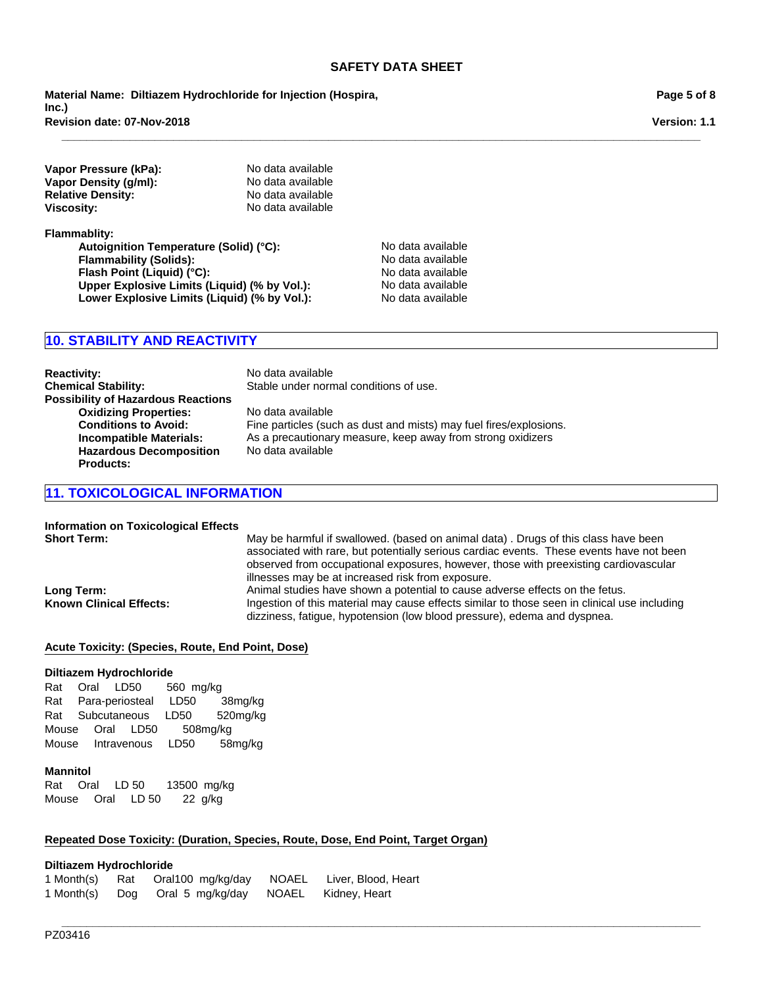**\_\_\_\_\_\_\_\_\_\_\_\_\_\_\_\_\_\_\_\_\_\_\_\_\_\_\_\_\_\_\_\_\_\_\_\_\_\_\_\_\_\_\_\_\_\_\_\_\_\_\_\_\_\_\_\_\_\_\_\_\_\_\_\_\_\_\_\_\_\_\_\_\_\_\_\_\_\_\_\_\_\_\_\_\_\_\_\_\_\_\_\_\_\_\_\_\_\_\_\_\_\_\_**

**Revision date: 07-Nov-2018 Material Name: Diltiazem Hydrochloride for Injection (Hospira, Inc.)**

**Vapor Pressure (kPa):** No data available **Vapor Density (g/ml):** No data available **Relative Density:** No data available **Viscosity:** No data available

**Flammablity:** Autoignition Temperature (Solid) (°C): No data available **Flammability (Solids):** No data available **Flash Point (Liquid) (°C):** No data available **Upper Explosive Limits (Liquid) (% by Vol.):** No data available **Lower Explosive Limits (Liquid) (% by Vol.):** No data available

# **10. STABILITY AND REACTIVITY**

**Reactivity:** No data available **Chemical Stability:** Stable under normal conditions of use. **Possibility of Hazardous Reactions Oxidizing Properties:** No data available **Conditions to Avoid:** Fine particles (such as dust and mists) may fuel fires/explosions.<br> **Incompatible Materials:** As a precautionary measure, keep away from strong oxidizers As a precautionary measure, keep away from strong oxidizers **Hazardous Decomposition Products:** No data available

# **11. TOXICOLOGICAL INFORMATION**

# **Information on Toxicological Effects**

**Short Term:** May be harmful if swallowed. (based on animal data) . Drugs of this class have been associated with rare, but potentially serious cardiac events. These events have not been observed from occupational exposures, however, those with preexisting cardiovascular illnesses may be at increased risk from exposure. Long Term: **Animal studies have shown a potential to cause adverse effects on the fetus. Known Clinical Effects:** Ingestion of this material may cause effects similar to those seen in clinical use including dizziness, fatigue, hypotension (low blood pressure), edema and dyspnea.

### **Acute Toxicity: (Species, Route, End Point, Dose)**

#### **Diltiazem Hydrochloride**

RatOralLD50 560mg/kg RatPara-periostealLD50 38mg/kg RatSubcutaneousLD50 520mg/kg MouseOralLD50 508mg/kg MouseIntravenousLD50 58mg/kg

#### **Mannitol**

RatOralLD 5013500mg/kg MouseOralLD 5022 g/kg

### **Repeated Dose Toxicity: (Duration, Species, Route, Dose, End Point, Target Organ)**

### **Diltiazem Hydrochloride**

| 1 Month(s) | Rat Oral100 mg/kg/day NOAEL | Liver, Blood, Heart |
|------------|-----------------------------|---------------------|
| 1 Month(s) | Dog Oral 5 mg/kg/day NOAEL  | Kidney, Heart       |

# **Page 5 of 8**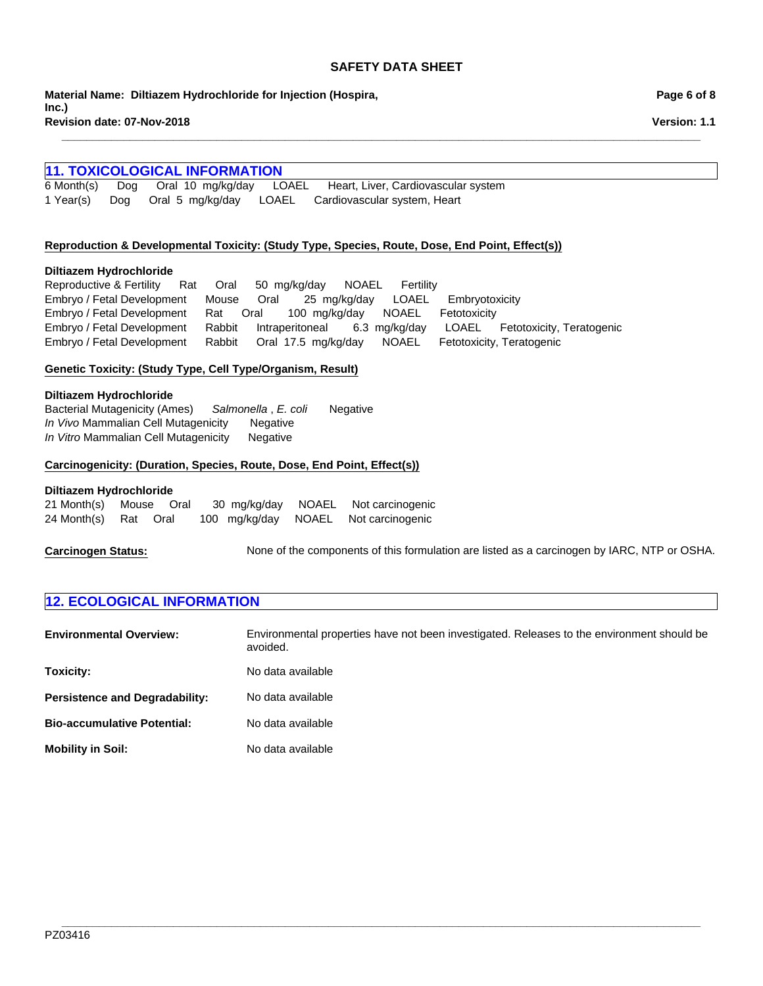**\_\_\_\_\_\_\_\_\_\_\_\_\_\_\_\_\_\_\_\_\_\_\_\_\_\_\_\_\_\_\_\_\_\_\_\_\_\_\_\_\_\_\_\_\_\_\_\_\_\_\_\_\_\_\_\_\_\_\_\_\_\_\_\_\_\_\_\_\_\_\_\_\_\_\_\_\_\_\_\_\_\_\_\_\_\_\_\_\_\_\_\_\_\_\_\_\_\_\_\_\_\_\_**

**Revision date: 07-Nov-2018 Material Name: Diltiazem Hydrochloride for Injection (Hospira, Inc.)**

# **11. TOXICOLOGICAL INFORMATION**<br>6 Month(s) Dog Oral 10 mg/kg/day LO

6 Month(s)DogOral10mg/kg/dayLOAELHeart, Liver, Cardiovascular system 1 Year(s)DogOral5mg/kg/dayLOAELCardiovascular system, Heart

### **Reproduction & Developmental Toxicity: (Study Type, Species, Route, Dose, End Point, Effect(s))**

### **Diltiazem Hydrochloride**

Reproductive & FertilityRatOral50mg/kg/dayNOAELFertility Embryo / Fetal DevelopmentMouseOral25mg/kg/dayLOAELEmbryotoxicity Embryo / Fetal DevelopmentRatOral100mg/kg/dayNOAELFetotoxicity Embryo / Fetal DevelopmentRabbitIntraperitoneal6.3mg/kg/dayLOAELFetotoxicity, Teratogenic Embryo / Fetal DevelopmentRabbitOral17.5mg/kg/dayNOAELFetotoxicity, Teratogenic

### **Genetic Toxicity: (Study Type, Cell Type/Organism, Result)**

### **Diltiazem Hydrochloride**

Bacterial Mutagenicity (Ames)*Salmonella* , *E. coli* Negative *In Vivo* Mammalian Cell Mutagenicity Negative *In Vitro* Mammalian Cell MutagenicityNegative

### **Carcinogenicity: (Duration, Species, Route, Dose, End Point, Effect(s))**

### **Diltiazem Hydrochloride**

| 21 Month(s) Mouse Oral |  |  | 30 mg/kg/day NOAEL Not carcinogenic  |
|------------------------|--|--|--------------------------------------|
| 24 Month(s) Rat Oral   |  |  | 100 mg/kg/day NOAEL Not carcinogenic |

**Carcinogen Status:** None of the components of this formulation are listed as a carcinogen by IARC, NTP or OSHA.

# **12. ECOLOGICAL INFORMATION**

**Environmental Overview:** Environmental properties have not been investigated. Releases to the environment should be avoided. **Toxicity:** No data available **Persistence and Degradability:** No data available **Bio-accumulative Potential:** No data available **Mobility in Soil:** No data available

**\_\_\_\_\_\_\_\_\_\_\_\_\_\_\_\_\_\_\_\_\_\_\_\_\_\_\_\_\_\_\_\_\_\_\_\_\_\_\_\_\_\_\_\_\_\_\_\_\_\_\_\_\_\_\_\_\_\_\_\_\_\_\_\_\_\_\_\_\_\_\_\_\_\_\_\_\_\_\_\_\_\_\_\_\_\_\_\_\_\_\_\_\_\_\_\_\_\_\_\_\_\_\_** PZ03416

**Page 6 of 8**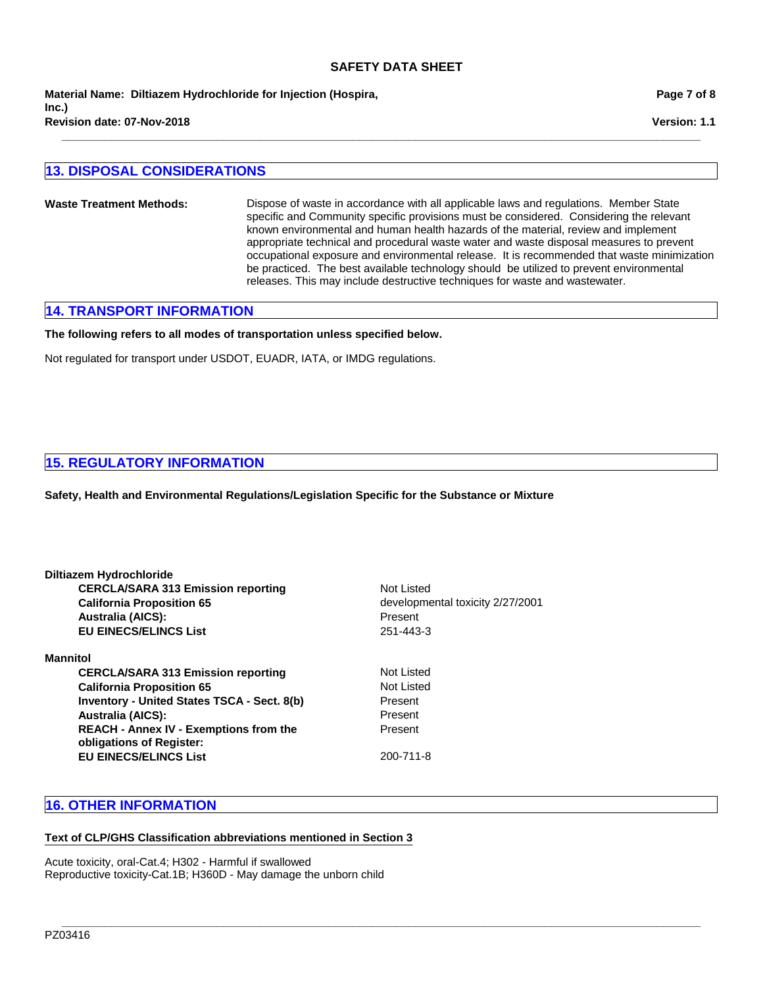**Revision date: 07-Nov-2018 Material Name: Diltiazem Hydrochloride for Injection (Hospira, Inc.)**

# **13. DISPOSAL CONSIDERATIONS**

**Waste Treatment Methods:** Dispose of waste in accordance with all applicable laws and regulations. Member State specific and Community specific provisions must be considered. Considering the relevant known environmental and human health hazards of the material, review and implement appropriate technical and procedural waste water and waste disposal measures to prevent occupational exposure and environmental release. It is recommended that waste minimization be practiced. The best available technology should be utilized to prevent environmental releases. This may include destructive techniques for waste and wastewater.

**\_\_\_\_\_\_\_\_\_\_\_\_\_\_\_\_\_\_\_\_\_\_\_\_\_\_\_\_\_\_\_\_\_\_\_\_\_\_\_\_\_\_\_\_\_\_\_\_\_\_\_\_\_\_\_\_\_\_\_\_\_\_\_\_\_\_\_\_\_\_\_\_\_\_\_\_\_\_\_\_\_\_\_\_\_\_\_\_\_\_\_\_\_\_\_\_\_\_\_\_\_\_\_**

**\_\_\_\_\_\_\_\_\_\_\_\_\_\_\_\_\_\_\_\_\_\_\_\_\_\_\_\_\_\_\_\_\_\_\_\_\_\_\_\_\_\_\_\_\_\_\_\_\_\_\_\_\_\_\_\_\_\_\_\_\_\_\_\_\_\_\_\_\_\_\_\_\_\_\_\_\_\_\_\_\_\_\_\_\_\_\_\_\_\_\_\_\_\_\_\_\_\_\_\_\_\_\_**

### **14. TRANSPORT INFORMATION**

**The following refers to all modes of transportation unless specified below.**

Not regulated for transport under USDOT, EUADR, IATA, or IMDG regulations.

### **15. REGULATORY INFORMATION**

**Safety, Health and Environmental Regulations/Legislation Specific for the Substance or Mixture**

| Diltiazem Hydrochloride                                                   |                                  |  |  |
|---------------------------------------------------------------------------|----------------------------------|--|--|
| <b>CERCLA/SARA 313 Emission reporting</b>                                 | Not Listed                       |  |  |
| <b>California Proposition 65</b>                                          | developmental toxicity 2/27/2001 |  |  |
| <b>Australia (AICS):</b>                                                  | Present                          |  |  |
| <b>EU EINECS/ELINCS List</b>                                              | 251-443-3                        |  |  |
| <b>Mannitol</b>                                                           |                                  |  |  |
| <b>CERCLA/SARA 313 Emission reporting</b>                                 | Not Listed                       |  |  |
| <b>California Proposition 65</b>                                          | Not Listed                       |  |  |
| <b>Inventory - United States TSCA - Sect. 8(b)</b>                        | Present                          |  |  |
| <b>Australia (AICS):</b>                                                  | Present                          |  |  |
| <b>REACH - Annex IV - Exemptions from the</b><br>obligations of Register: | Present                          |  |  |
| <b>EU EINECS/ELINCS List</b>                                              | 200-711-8                        |  |  |
|                                                                           |                                  |  |  |

# **16. OTHER INFORMATION**

### **Text of CLP/GHS Classification abbreviations mentioned in Section 3**

Acute toxicity, oral-Cat.4; H302 - Harmful if swallowed Reproductive toxicity-Cat.1B; H360D - May damage the unborn child